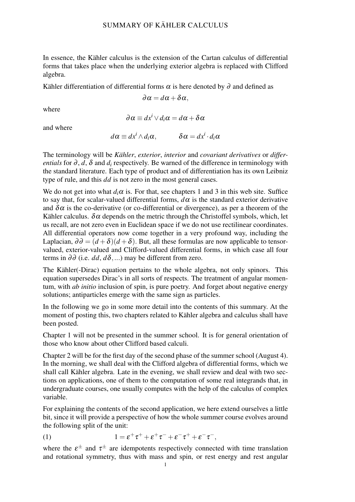In essence, the Kähler calculus is the extension of the Cartan calculus of differential forms that takes place when the underlying exterior algebra is replaced with Clifford algebra.

Kähler differentiation of differential forms  $\alpha$  is here denoted by  $\partial$  and defined as

$$
\partial \alpha = d\alpha + \delta \alpha,
$$

where

$$
\partial \alpha \equiv dx^i \vee d_i \alpha = d\alpha + \delta \alpha
$$

and where

$$
d\alpha \equiv dx^i \wedge d_i\alpha, \qquad \delta\alpha = dx^i \cdot d_i\alpha
$$

The terminology will be *Kähler, exterior, interior* and *covariant derivatives* or *differentials* for  $\partial$ ,  $d$ ,  $\delta$  and  $d_i$  respectively. Be warned of the difference in terminology with the standard literature. Each type of product and of differentiation has its own Leibniz type of rule, and this *dd* is not zero in the most general cases.

We do not get into what  $d_i \alpha$  is. For that, see chapters 1 and 3 in this web site. Suffice to say that, for scalar-valued differential forms,  $d\alpha$  is the standard exterior derivative and  $\delta \alpha$  is the co-derivative (or co-differential or divergence), as per a theorem of the Kähler calculus.  $\delta \alpha$  depends on the metric through the Christoffel symbols, which, let us recall, are not zero even in Euclidean space if we do not use rectilinear coordinates. All differential operators now come together in a very profound way, including the Laplacian,  $\partial \partial = (d + \delta)(d + \delta)$ . But, all these formulas are now applicable to tensorvalued, exterior-valued and Clifford-valued differential forms, in which case all four terms in  $\partial \partial$  (i.e. *dd*,  $d\delta$ ,...) may be different from zero.

The Kähler(-Dirac) equation pertains to the whole algebra, not only spinors. This equation supersedes Dirac's in all sorts of respects. The treatment of angular momentum, with *ab initio* inclusion of spin, is pure poetry. And forget about negative energy solutions; antiparticles emerge with the same sign as particles.

In the following we go in some more detail into the contents of this summary. At the moment of posting this, two chapters related to Kähler algebra and calculus shall have been posted.

Chapter 1 will not be presented in the summer school. It is for general orientation of those who know about other Clifford based calculi.

Chapter 2 will be for the first day of the second phase of the summer school (August 4). In the morning, we shall deal with the Clifford algebra of differential forms, which we shall call Kähler algebra. Late in the evening, we shall review and deal with two sections on applications, one of them to the computation of some real integrands that, in undergraduate courses, one usually computes with the help of the calculus of complex variable.

For explaining the contents of the second application, we here extend ourselves a little bit, since it will provide a perspective of how the whole summer course evolves around the following split of the unit:

(1) 
$$
1 = \varepsilon^+ \tau^+ + \varepsilon^+ \tau^- + \varepsilon^- \tau^+ + \varepsilon^- \tau^-,
$$

where the  $\varepsilon^{\pm}$  and  $\tau^{\pm}$  are idempotents respectively connected with time translation and rotational symmetry, thus with mass and spin, or rest energy and rest angular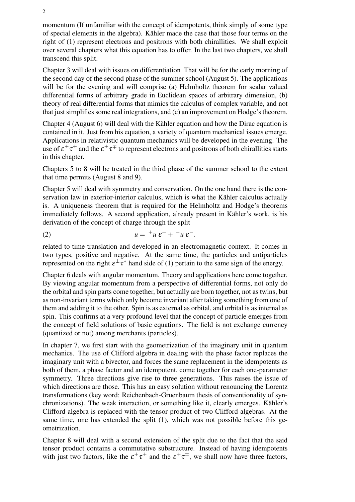momentum (If unfamiliar with the concept of idempotents, think simply of some type of special elements in the algebra). Kähler made the case that those four terms on the right of (1) represent electrons and positrons with both chirallities. We shall exploit over several chapters what this equation has to offer. In the last two chapters, we shall transcend this split.

Chapter 3 will deal with issues on differentiation That will be for the early morning of the second day of the second phase of the summer school (August 5). The applications will be for the evening and will comprise (a) Helmholtz theorem for scalar valued differential forms of arbitrary grade in Euclidean spaces of arbitrary dimension, (b) theory of real differential forms that mimics the calculus of complex variable, and not that just simplifies some real integrations, and (c) an improvement on Hodge's theorem.

Chapter 4 (August 6) will deal with the Kähler equation and how the Dirac equation is contained in it. Just from his equation, a variety of quantum mechanical issues emerge. Applications in relativistic quantum mechanics will be developed in the evening. The use of  $\varepsilon^\pm\tau^\pm$  and the  $\varepsilon^\pm\tau^\mp$  to represent electrons and positrons of both chirallities starts in this chapter.

Chapters 5 to 8 will be treated in the third phase of the summer school to the extent that time permits (August 8 and 9).

Chapter 5 will deal with symmetry and conservation. On the one hand there is the conservation law in exterior-interior calculus, which is what the Kähler calculus actually is. A uniqueness theorem that is required for the Helmholtz and Hodge's theorems immediately follows. A second application, already present in Kähler's work, is his derivation of the concept of charge through the split

$$
(2) \t u = {}^+u \, \varepsilon^+ + {}^-u \, \varepsilon^-.
$$

related to time translation and developed in an electromagnetic context. It comes in two types, positive and negative. At the same time, the particles and antiparticles represented on the right  $\varepsilon^{\pm} \tau^*$  hand side of (1) pertain to the same sign of the energy.

Chapter 6 deals with angular momentum. Theory and applications here come together. By viewing angular momentum from a perspective of differential forms, not only do the orbital and spin parts come together, but actually are born together, not as twins, but as non-invariant terms which only become invariant after taking something from one of them and adding it to the other. Spin is as external as orbital, and orbital is as internal as spin. This confirms at a very profound level that the concept of particle emerges from the concept of field solutions of basic equations. The field is not exchange currency (quantized or not) among merchants (particles).

In chapter 7, we first start with the geometrization of the imaginary unit in quantum mechanics. The use of Clifford algebra in dealing with the phase factor replaces the imaginary unit with a bivector, and forces the same replacement in the idempotents as both of them, a phase factor and an idempotent, come together for each one-parameter symmetry. Three directions give rise to three generations. This raises the issue of which directions are those. This has an easy solution without renouncing the Lorentz transformations (key word: Reichenbach-Gruenbaum thesis of conventionality of synchronizations). The weak interaction, or something like it, clearly emerges. Kähler's Clifford algebra is replaced with the tensor product of two Clifford algebras. At the same time, one has extended the split (1), which was not possible before this geometrization.

Chapter 8 will deal with a second extension of the split due to the fact that the said tensor product contains a commutative substructure. Instead of having idempotents with just two factors, like the  $\varepsilon^{\pm} \tau^{\pm}$  and the  $\varepsilon^{\pm} \tau^{\mp}$ , we shall now have three factors,